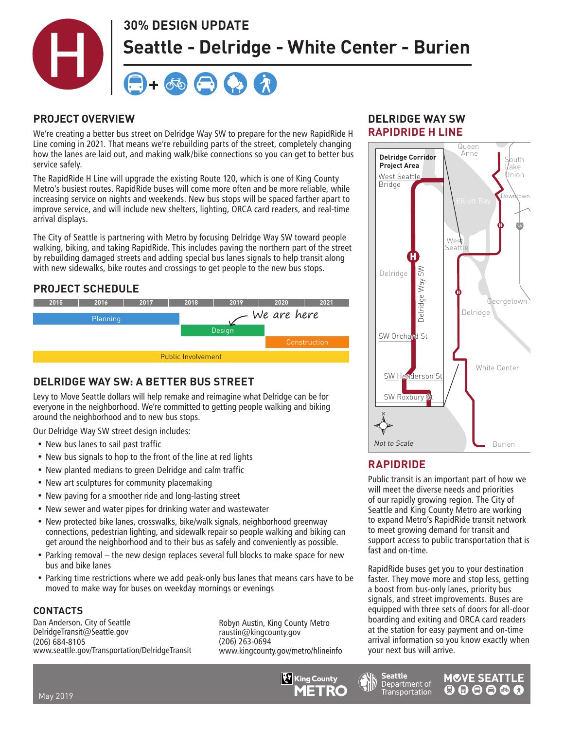

#### **PROJECT OVERVIEW**

We're creating a better bus street on Delridge Way SW to prepare for the new RapidRide H Line coming in 2021. That means we're rebuilding parts of the street, completely changing how the lanes are laid out, and making walk/bike connections so you can get to better bus service safely.

The RapidRide H Line will upgrade the existing Route 120, which is one of King County Metro's busiest routes. RapidRide buses will come more often and be more reliable, while increasing service on nights and weekends. New bus stops will be spaced farther apart to improve service, and will include new shelters, lighting, ORCA card readers, and real-time arrival displays.

The City of Seattle is partnering with Metro by focusing Delridge Way SW toward people walking, biking, and taking RapidRide. This includes paving the northern part of the street by rebuilding damaged streets and adding special bus lanes signals to help transit along with new sidewalks, bike routes and crossings to get people to the new bus stops.

# **PROJECT SCHEDULE**



# **DELRIDGE WAY SW: A BETTER BUS STREET**

Levy to Move Seattle dollars will help remake and reimagine what Delridge can be for everyone in the neighborhood. We're committed to getting people walking and biking around the neighborhood and to new bus stops.

Our Delridge Way SW street design includes:

- New bus lanes to sail past traffic
- New bus signals to hop to the front of the line at red lights
- New planted medians to green Delridge and calm traffic
- New art sculptures for community placemaking
- New paving for a smoother ride and long-lasting street
- New sewer and water pipes for drinking water and wastewater
- New protected bike lanes, crosswalks, bike/walk signals, neighborhood greenway connections, pedestrian lighting, and sidewalk repair so people walking and biking can get around the neighborhood and to their bus as safely and conveniently as possible.
- Parking removal the new design replaces several full blocks to make space for new bus and bike lanes
- Parking time restrictions where we add peak-only bus lanes that means cars have to be moved to make way for buses on weekday mornings or evenings

#### **CONTACTS**

Dan Anderson, City of Seattle DelridgeTransit@Seattle.gov (206) 684-8105 www.seattle.gov/Transportation/DelridgeTransit Robyn Austin, King County Metro raustin@kingcounty.gov (206) 263-0694 www.kingcounty.gov/metro/hlineinfo



### **RAPIDRIDE H LINE DELRIDGE WAY SW**



## RAPIDRIDE

Seattle

Department of

Transportation

Public transit is an important part of how we of our rapidly growing region. The City of to expand Metro's RapidRide transit network Seattle and King County Metro are working<br>As sweet Metrole Basid Ride trensit astwork will meet the diverse needs and priorities to meet growing demand for transit and support access to public transportation that is fast and on-time.

RapidRide buses get you to your destination faster. They move more and stop less, getting a boost from bus-only lanes, priority bus signals, and street improvements. Buses are equipped with three sets of doors for all-door boarding and exiting and ORCA card readers at the station for easy payment and on-time arrival information so you know exactly when your next bus will arrive.

**MOVE SEATTLE** 

 $000000$ 

May 2019